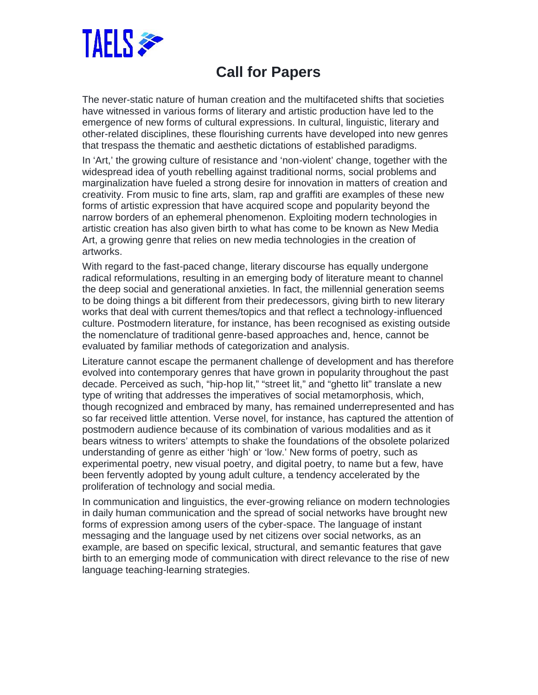

## **Call for Papers**

The never-static nature of human creation and the multifaceted shifts that societies have witnessed in various forms of literary and artistic production have led to the emergence of new forms of cultural expressions. In cultural, linguistic, literary and other-related disciplines, these flourishing currents have developed into new genres that trespass the thematic and aesthetic dictations of established paradigms.

In 'Art,' the growing culture of resistance and 'non-violent' change, together with the widespread idea of youth rebelling against traditional norms, social problems and marginalization have fueled a strong desire for innovation in matters of creation and creativity. From music to fine arts, slam, rap and graffiti are examples of these new forms of artistic expression that have acquired scope and popularity beyond the narrow borders of an ephemeral phenomenon. Exploiting modern technologies in artistic creation has also given birth to what has come to be known as New Media Art, a growing genre that relies on new media technologies in the creation of artworks.

With regard to the fast-paced change, literary discourse has equally undergone radical reformulations, resulting in an emerging body of literature meant to channel the deep social and generational anxieties. In fact, the millennial generation seems to be doing things a bit different from their predecessors, giving birth to new literary works that deal with current themes/topics and that reflect a technology-influenced culture. Postmodern literature, for instance, has been recognised as existing outside the nomenclature of traditional genre-based approaches and, hence, cannot be evaluated by familiar methods of categorization and analysis.

Literature cannot escape the permanent challenge of development and has therefore evolved into contemporary genres that have grown in popularity throughout the past decade. Perceived as such, "hip-hop lit," "street lit," and "ghetto lit" translate a new type of writing that addresses the imperatives of social metamorphosis, which, though recognized and embraced by many, has remained underrepresented and has so far received little attention. Verse novel, for instance, has captured the attention of postmodern audience because of its combination of various modalities and as it bears witness to writers' attempts to shake the foundations of the obsolete polarized understanding of genre as either 'high' or 'low.' New forms of poetry, such as experimental poetry, new visual poetry, and digital poetry, to name but a few, have been fervently adopted by young adult culture, a tendency accelerated by the proliferation of technology and social media.

In communication and linguistics, the ever-growing reliance on modern technologies in daily human communication and the spread of social networks have brought new forms of expression among users of the cyber-space. The language of instant messaging and the language used by net citizens over social networks, as an example, are based on specific lexical, structural, and semantic features that gave birth to an emerging mode of communication with direct relevance to the rise of new language teaching-learning strategies.